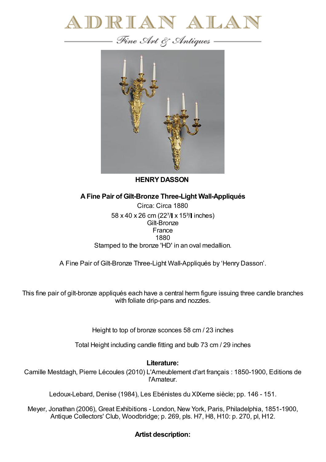



**HENRYDASSON**

**AFine Pair of Gilt-Bronze Three-Light Wall-Appliqués**

Circa: Circa 1880 58 x 40 x 26 cm (22<sup>7</sup>/ x 15<sup>3</sup>/ linches) Gilt-Bronze France 1880 Stamped to the bronze 'HD' in an oval medallion.

A Fine Pair of Gilt-Bronze Three-Light Wall-Appliqués by 'Henry Dasson'.

This fine pair of gilt-bronze appliqués each have a central herm figure issuing three candle branches with foliate drip-pans and nozzles.

Height to top of bronze sconces 58 cm / 23 inches

Total Height including candle fitting and bulb 73 cm / 29 inches

## **Literature:**

Camille Mestdagh, Pierre Lécoules (2010) L'Ameublement d'art français : 1850-1900, Editions de l'Amateur.

Ledoux-Lebard, Denise (1984), Les Ebénistes du XIXeme siècle; pp. 146 - 151.

Meyer, Jonathan (2006), Great Exhibitions - London, New York, Paris, Philadelphia, 1851-1900, Antique Collectors' Club, Woodbridge; p. 269, pls. H7, H8, H10: p. 270, pl, H12.

## **Artist description:**